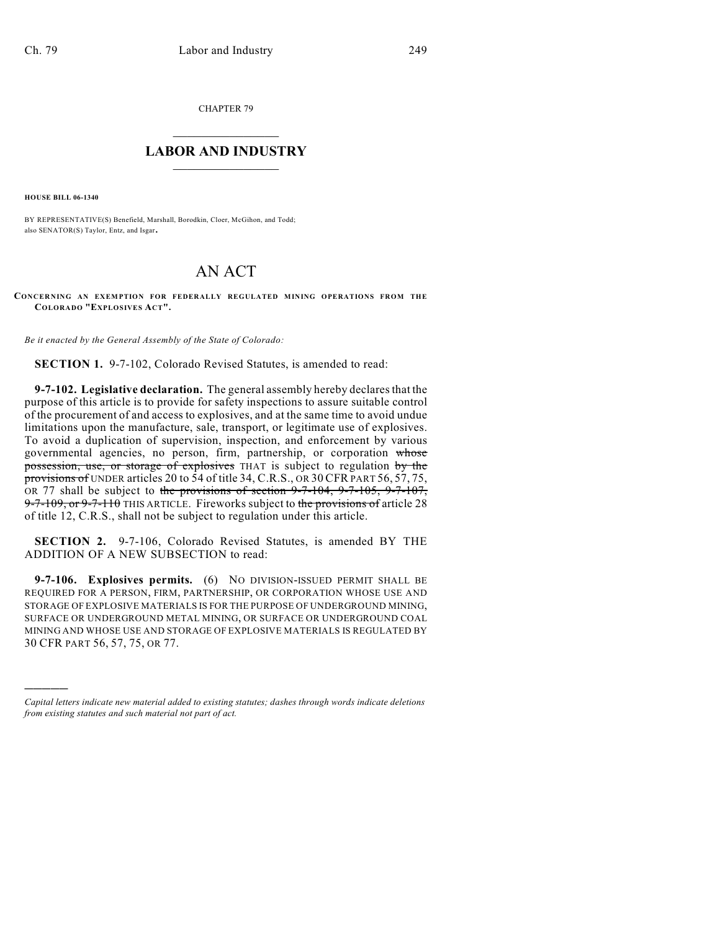CHAPTER 79

## $\mathcal{L}_\text{max}$  . The set of the set of the set of the set of the set of the set of the set of the set of the set of the set of the set of the set of the set of the set of the set of the set of the set of the set of the set **LABOR AND INDUSTRY**  $\frac{1}{\sqrt{2}}$  ,  $\frac{1}{\sqrt{2}}$  ,  $\frac{1}{\sqrt{2}}$  ,  $\frac{1}{\sqrt{2}}$  ,  $\frac{1}{\sqrt{2}}$  ,  $\frac{1}{\sqrt{2}}$

**HOUSE BILL 06-1340**

)))))

BY REPRESENTATIVE(S) Benefield, Marshall, Borodkin, Cloer, McGihon, and Todd; also SENATOR(S) Taylor, Entz, and Isgar.

## AN ACT

**CONCERNING AN EXEMPTION FOR FEDERALLY REGULATED MINING OPERATIONS FROM THE COLORADO "EXPLOSIVES ACT".**

*Be it enacted by the General Assembly of the State of Colorado:*

**SECTION 1.** 9-7-102, Colorado Revised Statutes, is amended to read:

**9-7-102. Legislative declaration.** The general assembly hereby declares that the purpose of this article is to provide for safety inspections to assure suitable control of the procurement of and access to explosives, and at the same time to avoid undue limitations upon the manufacture, sale, transport, or legitimate use of explosives. To avoid a duplication of supervision, inspection, and enforcement by various governmental agencies, no person, firm, partnership, or corporation whose possession, use, or storage of explosives THAT is subject to regulation by the provisions of UNDER articles 20 to 54 of title 34, C.R.S., OR 30 CFR PART 56, 57, 75, OR 77 shall be subject to the provisions of section  $9-7-104$ ,  $9-7-105$ ,  $9-7-107$ , 9-7-109, or 9-7-110 THIS ARTICLE. Fireworks subject to the provisions of article 28 of title 12, C.R.S., shall not be subject to regulation under this article.

**SECTION 2.** 9-7-106, Colorado Revised Statutes, is amended BY THE ADDITION OF A NEW SUBSECTION to read:

**9-7-106. Explosives permits.** (6) NO DIVISION-ISSUED PERMIT SHALL BE REQUIRED FOR A PERSON, FIRM, PARTNERSHIP, OR CORPORATION WHOSE USE AND STORAGE OF EXPLOSIVE MATERIALS IS FOR THE PURPOSE OF UNDERGROUND MINING, SURFACE OR UNDERGROUND METAL MINING, OR SURFACE OR UNDERGROUND COAL MINING AND WHOSE USE AND STORAGE OF EXPLOSIVE MATERIALS IS REGULATED BY 30 CFR PART 56, 57, 75, OR 77.

*Capital letters indicate new material added to existing statutes; dashes through words indicate deletions from existing statutes and such material not part of act.*